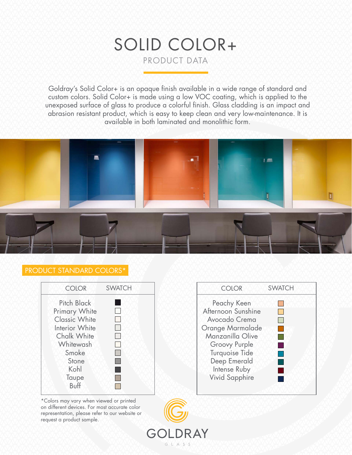# SOLID COLOR+ PRODUCT DATA

Goldray's Solid Color+ is an opaque finish available in a wide range of standard and custom colors. Solid Color+ is made using a low VOC coating, which is applied to the unexposed surface of glass to produce a colorful finish. Glass cladding is an impact and abrasion resistant product, which is easy to keep clean and very low-maintenance. It is available in both laminated and monolithic form.



DRAY

 $G + A S S$ 

GOI

# PRODUCT STANDARD COLORS\*



\*Colors may vary when viewed or printed on different devices. For most accurate color representation, please refer to our website or request a product sample.

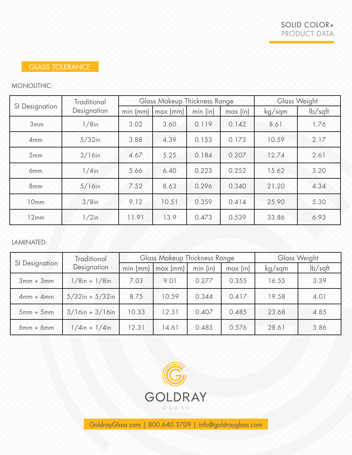# GLASS TOLERANCE

# MONOLITHIC:

| SI Designation  | <b>Traditional</b><br>Designation | Glass Makeup Thickness Range |                |            |          | Glass Weight |               |
|-----------------|-----------------------------------|------------------------------|----------------|------------|----------|--------------|---------------|
|                 |                                   | $min$ ( $mm$ )               | $max$ ( $mm$ ) | $min$ (in) | max (in) | kg/sqm       | $\frac{1}{2}$ |
| 3mm             | $1/8$ in                          | 3.02                         | 3.60           | 0.119      | 0.142    | 8.61         | 1.76          |
| 4mm             | $5/32$ in                         | 3.88                         | 4.39           | 0.153      | 0.173    | 10.59        | 2.17          |
| 5mm             | $3/16$ in                         | 4.67                         | 5.25           | 0.184      | 0.207    | 12.74        | 2.61          |
| 6 <sub>mm</sub> | $1/4$ in                          | 5.66                         | 6.40           | 0.223      | 0.252    | 15.62        | 3.20          |
| 8mm             | $5/16$ in                         | 7.52                         | 8.63           | 0.296      | 0.340    | 21.20        | 4.34          |
| 10mm            | $3/8$ in                          | 9.12                         | 10.51          | 0.359      | 0.414    | 25.90        | 5.30          |
| 12mm            | $1/2$ in                          | 11.91                        | 13.9           | 0.473      | 0.539    | 33.86        | 6.93          |

LAMINATED:

| SI Designation | Traditional<br>Designation | <b>Glass Makeup Thickness Range</b> |            |            |          | Glass Weight |               |
|----------------|----------------------------|-------------------------------------|------------|------------|----------|--------------|---------------|
|                |                            | $min$ ( $mm$ )                      | $max$ (mm) | $min$ (in) | max (in) | kg/sqm       | $\frac{1}{2}$ |
| $3mm + 3mm$    | $1/8$ in + $1/8$ in        | 7.03                                | 9.01       | 0.277      | 0.355    | 16.55        | 3.39          |
| $4mm + 4mm$    | $5/32$ in + $5/32$ in      | 8.75                                | 10.59      | 0.344      | 0.417    | 19.58        | 4.01          |
| $5mm + 5mm$    | $3/16$ in + 3/16in         | 10.33                               | 12.31      | 0.407      | 0.485    | 23.68        | 4.85          |
| $6mm + 6mm$    | $1/4$ in + $1/4$ in        | 12.31                               | 14.61      | 0.485      | 0.576    | 28.61        | 5.86          |



GoldrayGlass.com | 800.640.3709 | info@goldrayglass.com